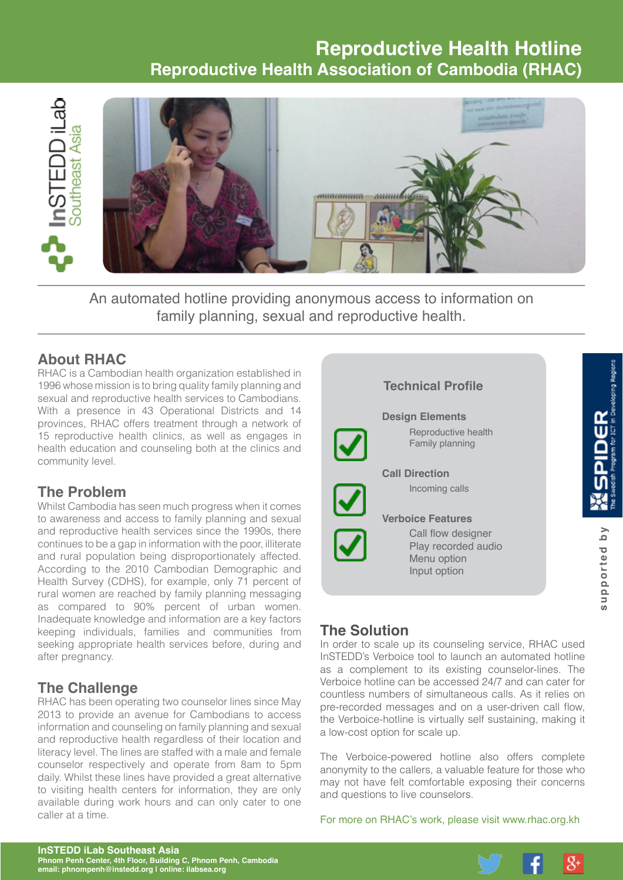# **Reproductive Health Hotline Reproductive Health Association of Cambodia (RHAC)**



An automated hotline providing anonymous access to information on family planning, sexual and reproductive health.

## **About RHAC**

RHAC is a Cambodian health organization established in 1996 whose mission is to bring quality family planning and sexual and reproductive health services to Cambodians. With a presence in 43 Operational Districts and 14 provinces, RHAC offers treatment through a network of 15 reproductive health clinics, as well as engages in health education and counseling both at the clinics and community level.

### **The Problem**

Whilst Cambodia has seen much progress when it comes to awareness and access to family planning and sexual and reproductive health services since the 1990s, there continues to be a gap in information with the poor, illiterate and rural population being disproportionately affected. According to the 2010 Cambodian Demographic and Health Survey (CDHS), for example, only 71 percent of rural women are reached by family planning messaging as compared to 90% percent of urban women. Inadequate knowledge and information are a key factors keeping individuals, families and communities from seeking appropriate health services before, during and after pregnancy.

### **The Challenge**

RHAC has been operating two counselor lines since May 2013 to provide an avenue for Cambodians to access information and counseling on family planning and sexual and reproductive health regardless of their location and literacy level. The lines are staffed with a male and female counselor respectively and operate from 8am to 5pm daily. Whilst these lines have provided a great alternative to visiting health centers for information, they are only available during work hours and can only cater to one caller at a time.

# **Technical Profile Design Elements**  $\frac{\alpha}{2}$ Reproductive health Family planning  **Call Direction** Incoming calls  **Verboice Features** supported by Call flow designer **supported by** Play recorded audio Menu option Input option

# **The Solution**

In order to scale up its counseling service, RHAC used InSTEDD's Verboice tool to launch an automated hotline as a complement to its existing counselor-lines. The Verboice hotline can be accessed 24/7 and can cater for countless numbers of simultaneous calls. As it relies on pre-recorded messages and on a user-driven call flow, the Verboice-hotline is virtually self sustaining, making it a low-cost option for scale up.

The Verboice-powered hotline also offers complete anonymity to the callers, a valuable feature for those who may not have felt comfortable exposing their concerns and questions to live counselors.

For more on RHAC's work, please visit [www.rhac.org.kh](http://www.rhac.org.kh)